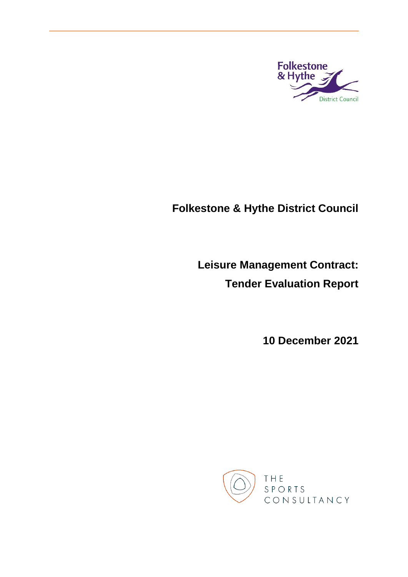

# **Folkestone & Hythe District Council**

**Leisure Management Contract: Tender Evaluation Report**

**10 December 2021**

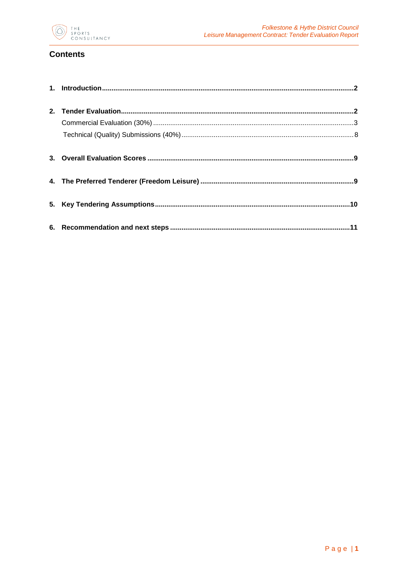

# **Contents**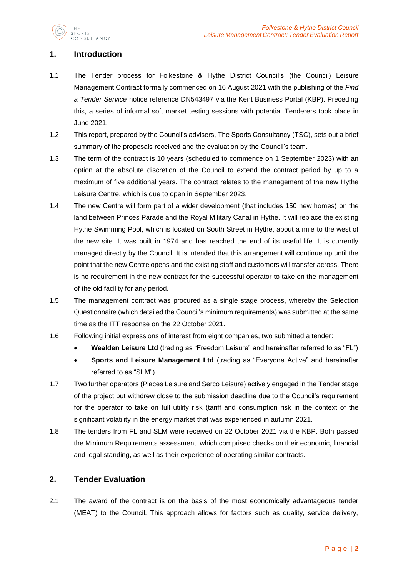

# <span id="page-2-0"></span>**1. Introduction**

- 1.1 The Tender process for Folkestone & Hythe District Council's (the Council) Leisure Management Contract formally commenced on 16 August 2021 with the publishing of the *Find a Tender Service* notice reference DN543497 via the Kent Business Portal (KBP). Preceding this, a series of informal soft market testing sessions with potential Tenderers took place in June 2021.
- 1.2 This report, prepared by the Council's advisers, The Sports Consultancy (TSC), sets out a brief summary of the proposals received and the evaluation by the Council's team.
- 1.3 The term of the contract is 10 years (scheduled to commence on 1 September 2023) with an option at the absolute discretion of the Council to extend the contract period by up to a maximum of five additional years. The contract relates to the management of the new Hythe Leisure Centre, which is due to open in September 2023.
- 1.4 The new Centre will form part of a wider development (that includes 150 new homes) on the land between Princes Parade and the Royal Military Canal in Hythe. It will replace the existing Hythe Swimming Pool, which is located on South Street in Hythe, about a mile to the west of the new site. It was built in 1974 and has reached the end of its useful life. It is currently managed directly by the Council. It is intended that this arrangement will continue up until the point that the new Centre opens and the existing staff and customers will transfer across. There is no requirement in the new contract for the successful operator to take on the management of the old facility for any period.
- 1.5 The management contract was procured as a single stage process, whereby the Selection Questionnaire (which detailed the Council's minimum requirements) was submitted at the same time as the ITT response on the 22 October 2021.
- 1.6 Following initial expressions of interest from eight companies, two submitted a tender:
	- **Wealden Leisure Ltd** (trading as "Freedom Leisure" and hereinafter referred to as "FL")
	- **Sports and Leisure Management Ltd** (trading as "Everyone Active" and hereinafter referred to as "SLM").
- 1.7 Two further operators (Places Leisure and Serco Leisure) actively engaged in the Tender stage of the project but withdrew close to the submission deadline due to the Council's requirement for the operator to take on full utility risk (tariff and consumption risk in the context of the significant volatility in the energy market that was experienced in autumn 2021.
- 1.8 The tenders from FL and SLM were received on 22 October 2021 via the KBP. Both passed the Minimum Requirements assessment, which comprised checks on their economic, financial and legal standing, as well as their experience of operating similar contracts.

## <span id="page-2-1"></span>**2. Tender Evaluation**

2.1 The award of the contract is on the basis of the most economically advantageous tender (MEAT) to the Council. This approach allows for factors such as quality, service delivery,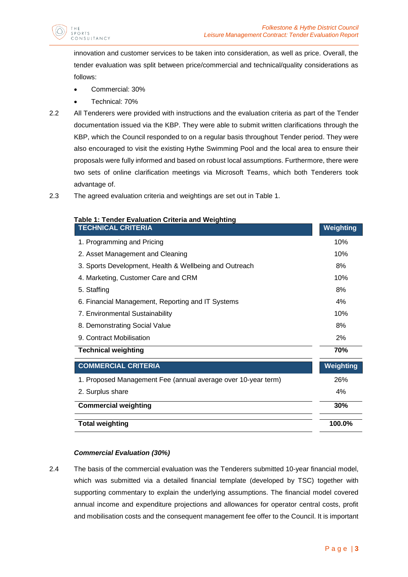

innovation and customer services to be taken into consideration, as well as price. Overall, the tender evaluation was split between price/commercial and technical/quality considerations as follows:

- Commercial: 30%
- Technical: 70%
- 2.2 All Tenderers were provided with instructions and the evaluation criteria as part of the Tender documentation issued via the KBP. They were able to submit written clarifications through the KBP, which the Council responded to on a regular basis throughout Tender period. They were also encouraged to visit the existing Hythe Swimming Pool and the local area to ensure their proposals were fully informed and based on robust local assumptions. Furthermore, there were two sets of online clarification meetings via Microsoft Teams, which both Tenderers took advantage of.
- 2.3 The agreed evaluation criteria and weightings are set out in Table 1.

| Table 1: Tender Evaluation Criteria and Weighting<br><b>TECHNICAL CRITERIA</b> | Weighting |
|--------------------------------------------------------------------------------|-----------|
| 1. Programming and Pricing                                                     | 10%       |
| 2. Asset Management and Cleaning                                               | 10%       |
| 3. Sports Development, Health & Wellbeing and Outreach                         | 8%        |
| 4. Marketing, Customer Care and CRM                                            | 10%       |
| 5. Staffing                                                                    | 8%        |
| 6. Financial Management, Reporting and IT Systems                              | 4%        |
| 7. Environmental Sustainability                                                | 10%       |
| 8. Demonstrating Social Value                                                  | 8%        |
| 9. Contract Mobilisation                                                       | 2%        |
| <b>Technical weighting</b>                                                     | 70%       |
| <b>COMMERCIAL CRITERIA</b>                                                     | Weighting |
| 1. Proposed Management Fee (annual average over 10-year term)                  | 26%       |
| 2. Surplus share                                                               | 4%        |
| <b>Commercial weighting</b>                                                    | 30%       |
| <b>Total weighting</b>                                                         | 100.0%    |

## *Commercial Evaluation (30%)*

<span id="page-3-0"></span>2.4 The basis of the commercial evaluation was the Tenderers submitted 10-year financial model, which was submitted via a detailed financial template (developed by TSC) together with supporting commentary to explain the underlying assumptions. The financial model covered annual income and expenditure projections and allowances for operator central costs, profit and mobilisation costs and the consequent management fee offer to the Council. It is important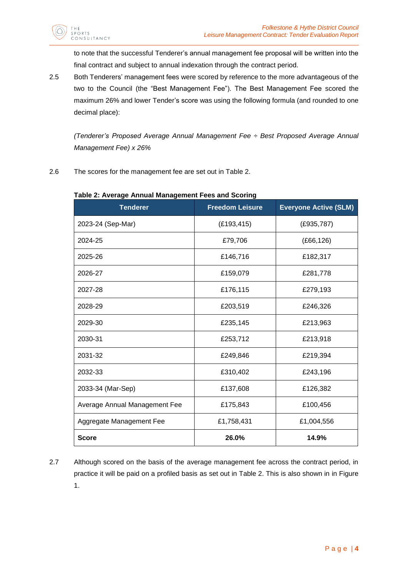to note that the successful Tenderer's annual management fee proposal will be written into the final contract and subject to annual indexation through the contract period.

2.5 Both Tenderers' management fees were scored by reference to the more advantageous of the two to the Council (the "Best Management Fee"). The Best Management Fee scored the maximum 26% and lower Tender's score was using the following formula (and rounded to one decimal place):

*(Tenderer's Proposed Average Annual Management Fee ÷ Best Proposed Average Annual Management Fee) x 26%*

2.6 The scores for the management fee are set out in Table 2.

| Table 2. Average Annual Management Fees and Scoring<br><b>Tenderer</b> | <b>Freedom Leisure</b> | <b>Everyone Active (SLM)</b> |
|------------------------------------------------------------------------|------------------------|------------------------------|
| 2023-24 (Sep-Mar)                                                      | (E193, 415)            | (E935, 787)                  |
| 2024-25                                                                | £79,706                | (E66, 126)                   |
| 2025-26                                                                | £146,716               | £182,317                     |
| 2026-27                                                                | £159,079               | £281,778                     |
| 2027-28                                                                | £176,115               | £279,193                     |
| 2028-29                                                                | £203,519               | £246,326                     |
| 2029-30                                                                | £235,145               | £213,963                     |
| 2030-31                                                                | £253,712               | £213,918                     |
| 2031-32                                                                | £249,846               | £219,394                     |
| 2032-33                                                                | £310,402               | £243,196                     |
| 2033-34 (Mar-Sep)                                                      | £137,608               | £126,382                     |
| Average Annual Management Fee                                          | £175,843               | £100,456                     |
| Aggregate Management Fee                                               | £1,758,431             | £1,004,556                   |
| <b>Score</b>                                                           | 26.0%                  | 14.9%                        |

# **Table 2: Average Annual Management Fees and Scoring**

2.7 Although scored on the basis of the average management fee across the contract period, in practice it will be paid on a profiled basis as set out in Table 2. This is also shown in in Figure 1.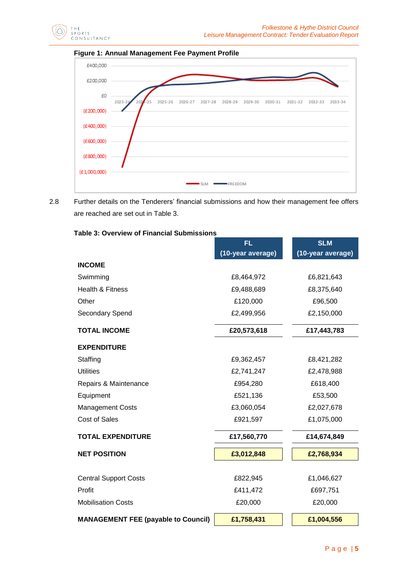





2.8 Further details on the Tenderers' financial submissions and how their management fee offers are reached are set out in Table 3.

## **Table 3: Overview of Financial Submissions**

|                                            | <b>FL</b>         | <b>SLM</b>        |
|--------------------------------------------|-------------------|-------------------|
|                                            | (10-year average) | (10-year average) |
| <b>INCOME</b>                              |                   |                   |
| Swimming                                   | £8,464,972        | £6,821,643        |
| Health & Fitness                           | £9,488,689        | £8,375,640        |
| Other                                      | £120,000          | £96,500           |
| Secondary Spend                            | £2,499,956        | £2,150,000        |
| <b>TOTAL INCOME</b>                        | £20,573,618       | £17,443,783       |
| <b>EXPENDITURE</b>                         |                   |                   |
| Staffing                                   | £9,362,457        | £8,421,282        |
| <b>Utilities</b>                           | £2,741,247        | £2,478,988        |
| Repairs & Maintenance                      | £954,280          | £618,400          |
| Equipment                                  | £521,136          | £53,500           |
| <b>Management Costs</b>                    | £3,060,054        | £2,027,678        |
| <b>Cost of Sales</b>                       | £921,597          | £1,075,000        |
| <b>TOTAL EXPENDITURE</b>                   | £17,560,770       | £14,674,849       |
| <b>NET POSITION</b>                        | £3,012,848        | £2,768,934        |
|                                            |                   |                   |
| <b>Central Support Costs</b>               | £822,945          | £1,046,627        |
| Profit                                     | £411,472          | £697,751          |
| <b>Mobilisation Costs</b>                  | £20,000           | £20,000           |
| <b>MANAGEMENT FEE (payable to Council)</b> | £1,758,431        | £1,004,556        |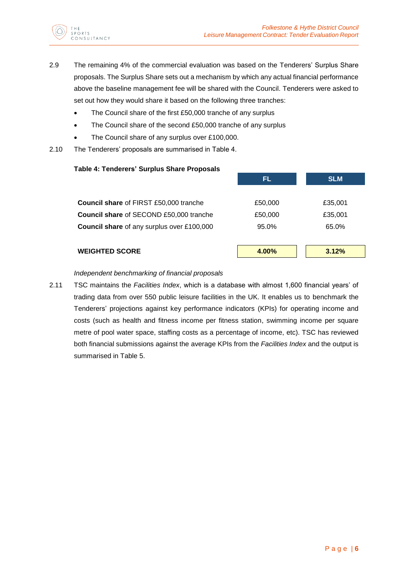

- 2.9 The remaining 4% of the commercial evaluation was based on the Tenderers' Surplus Share proposals. The Surplus Share sets out a mechanism by which any actual financial performance above the baseline management fee will be shared with the Council. Tenderers were asked to set out how they would share it based on the following three tranches:
	- The Council share of the first £50,000 tranche of any surplus
	- The Council share of the second £50,000 tranche of any surplus
	- The Council share of any surplus over £100,000.
- 2.10 The Tenderers' proposals are summarised in Table 4.

| FL      | <b>SLM</b> |
|---------|------------|
|         |            |
| £50,000 | £35,001    |
| £50,000 | £35,001    |
| 95.0%   | 65.0%      |
|         |            |
| 4.00%   | 3.12%      |
|         |            |

## *Independent benchmarking of financial proposals*

2.11 TSC maintains the *Facilities Index*, which is a database with almost 1,600 financial years' of trading data from over 550 public leisure facilities in the UK. It enables us to benchmark the Tenderers' projections against key performance indicators (KPIs) for operating income and costs (such as health and fitness income per fitness station, swimming income per square metre of pool water space, staffing costs as a percentage of income, etc). TSC has reviewed both financial submissions against the average KPIs from the *Facilities Index* and the output is summarised in Table 5.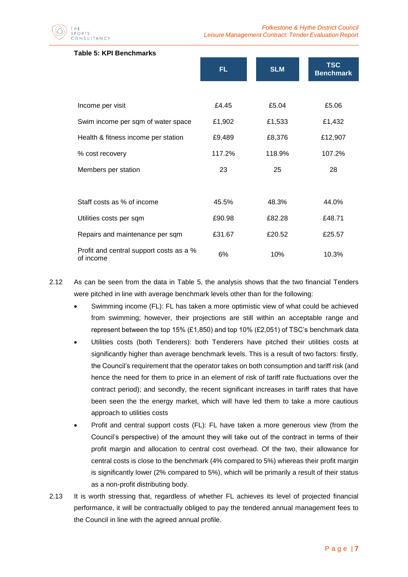$P$  O R T S SULTANCY

#### **Table 5: KPI Benchmarks**

|                                                      | FL.    | <b>SLM</b> | <b>TSC</b><br><b>Benchmark</b> |
|------------------------------------------------------|--------|------------|--------------------------------|
|                                                      |        |            |                                |
| Income per visit                                     | £4.45  | £5.04      | £5.06                          |
| Swim income per sqm of water space                   | £1,902 | £1,533     | £1,432                         |
| Health & fitness income per station                  | £9,489 | £8,376     | £12,907                        |
| % cost recovery                                      | 117.2% | 118.9%     | 107.2%                         |
| Members per station                                  | 23     | 25         | 28                             |
|                                                      |        |            |                                |
| Staff costs as % of income                           | 45.5%  | 48.3%      | 44.0%                          |
| Utilities costs per sqm                              | £90.98 | £82.28     | £48.71                         |
| Repairs and maintenance per sqm                      | £31.67 | £20.52     | £25.57                         |
| Profit and central support costs as a %<br>of income | 6%     | 10%        | 10.3%                          |

- 2.12 As can be seen from the data in Table 5, the analysis shows that the two financial Tenders were pitched in line with average benchmark levels other than for the following:
	- Swimming income (FL): FL has taken a more optimistic view of what could be achieved from swimming; however, their projections are still within an acceptable range and represent between the top 15% (£1,850) and top 10% (£2,051) of TSC's benchmark data
	- Utilities costs (both Tenderers): both Tenderers have pitched their utilities costs at significantly higher than average benchmark levels. This is a result of two factors: firstly, the Council's requirement that the operator takes on both consumption and tariff risk (and hence the need for them to price in an element of risk of tariff rate fluctuations over the contract period); and secondly, the recent significant increases in tariff rates that have been seen the the energy market, which will have led them to take a more cautious approach to utilities costs
	- Profit and central support costs (FL): FL have taken a more generous view (from the Council's perspective) of the amount they will take out of the contract in terms of their profit margin and allocation to central cost overhead. Of the two, their allowance for central costs is close to the benchmark (4% compared to 5%) whereas their profit margin is significantly lower (2% compared to 5%), which will be primarily a result of their status as a non-profit distributing body.
- 2.13 It is worth stressing that, regardless of whether FL achieves its level of projected financial performance, it will be contractually obliged to pay the tendered annual management fees to the Council in line with the agreed annual profile.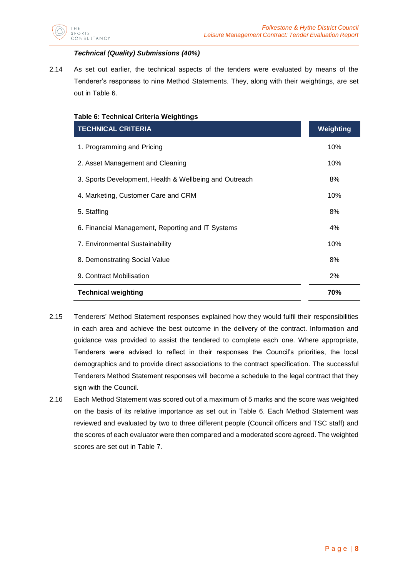

## *Technical (Quality) Submissions (40%)*

<span id="page-8-0"></span>2.14 As set out earlier, the technical aspects of the tenders were evaluated by means of the Tenderer's responses to nine Method Statements. They, along with their weightings, are set out in Table 6.

| <b>Table 6: Technical Criteria Weightings</b> |  |  |
|-----------------------------------------------|--|--|
|-----------------------------------------------|--|--|

| <b>TECHNICAL CRITERIA</b>                              | Weighting |  |
|--------------------------------------------------------|-----------|--|
| 1. Programming and Pricing                             | 10%       |  |
| 2. Asset Management and Cleaning                       | 10%       |  |
| 3. Sports Development, Health & Wellbeing and Outreach | 8%        |  |
| 4. Marketing, Customer Care and CRM                    | 10%       |  |
| 5. Staffing                                            | 8%        |  |
| 6. Financial Management, Reporting and IT Systems      | 4%        |  |
| 7. Environmental Sustainability                        | 10%       |  |
| 8. Demonstrating Social Value                          | 8%        |  |
| 9. Contract Mobilisation                               | 2%        |  |
| <b>Technical weighting</b>                             | 70%       |  |

- 2.15 Tenderers' Method Statement responses explained how they would fulfil their responsibilities in each area and achieve the best outcome in the delivery of the contract. Information and guidance was provided to assist the tendered to complete each one. Where appropriate, Tenderers were advised to reflect in their responses the Council's priorities, the local demographics and to provide direct associations to the contract specification. The successful Tenderers Method Statement responses will become a schedule to the legal contract that they sign with the Council.
- 2.16 Each Method Statement was scored out of a maximum of 5 marks and the score was weighted on the basis of its relative importance as set out in Table 6. Each Method Statement was reviewed and evaluated by two to three different people (Council officers and TSC staff) and the scores of each evaluator were then compared and a moderated score agreed. The weighted scores are set out in Table 7.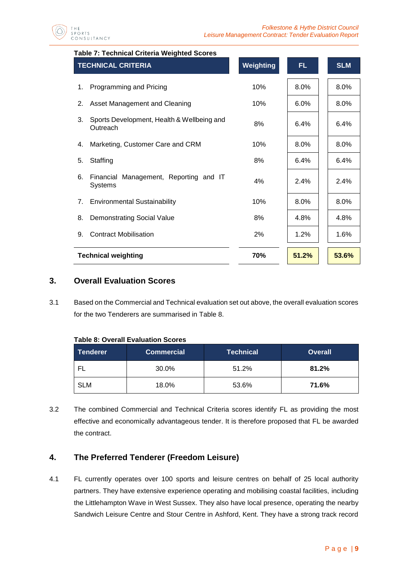

## **Table 7: Technical Criteria Weighted Scores**

| <b>TECHNICAL CRITERIA</b>  |                                                          | Weighting | FL.   | <b>SLM</b> |
|----------------------------|----------------------------------------------------------|-----------|-------|------------|
| 1.                         | Programming and Pricing                                  | 10%       | 8.0%  | 8.0%       |
| 2.                         | Asset Management and Cleaning                            | 10%       | 6.0%  | 8.0%       |
| 3.                         | Sports Development, Health & Wellbeing and<br>Outreach   | 8%        | 6.4%  | 6.4%       |
| 4.                         | Marketing, Customer Care and CRM                         | 10%       | 8.0%  | 8.0%       |
| 5.                         | Staffing                                                 | 8%        | 6.4%  | 6.4%       |
| 6.                         | Financial Management, Reporting and IT<br><b>Systems</b> | 4%        | 2.4%  | 2.4%       |
| 7.                         | <b>Environmental Sustainability</b>                      | 10%       | 8.0%  | 8.0%       |
| 8.                         | <b>Demonstrating Social Value</b>                        | 8%        | 4.8%  | 4.8%       |
| 9.                         | <b>Contract Mobilisation</b>                             | 2%        | 1.2%  | 1.6%       |
| <b>Technical weighting</b> |                                                          | 70%       | 51.2% | 53.6%      |

# <span id="page-9-0"></span>**3. Overall Evaluation Scores**

3.1 Based on the Commercial and Technical evaluation set out above, the overall evaluation scores for the two Tenderers are summarised in Table 8.

| <b>Tenderer</b> | ∣Commercial ˈ | <b>Technical</b> | <b>Overall</b> |
|-----------------|---------------|------------------|----------------|
|                 | 30.0%         | 51.2%            | 81.2%          |
| <b>SLM</b>      | 18.0%         | 53.6%            | 71.6%          |

**Table 8: Overall Evaluation Scores**

3.2 The combined Commercial and Technical Criteria scores identify FL as providing the most effective and economically advantageous tender. It is therefore proposed that FL be awarded the contract.

# <span id="page-9-1"></span>**4. The Preferred Tenderer (Freedom Leisure)**

4.1 FL currently operates over 100 sports and leisure centres on behalf of 25 local authority partners. They have extensive experience operating and mobilising coastal facilities, including the Littlehampton Wave in West Sussex. They also have local presence, operating the nearby Sandwich Leisure Centre and Stour Centre in Ashford, Kent. They have a strong track record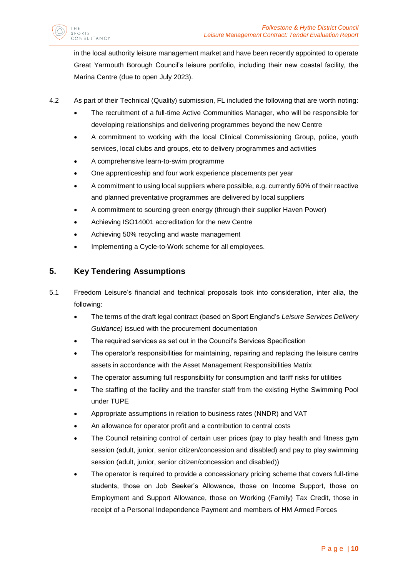in the local authority leisure management market and have been recently appointed to operate Great Yarmouth Borough Council's leisure portfolio, including their new coastal facility, the Marina Centre (due to open July 2023).

- 4.2 As part of their Technical (Quality) submission, FL included the following that are worth noting:
	- The recruitment of a full-time Active Communities Manager, who will be responsible for developing relationships and delivering programmes beyond the new Centre
	- A commitment to working with the local Clinical Commissioning Group, police, youth services, local clubs and groups, etc to delivery programmes and activities
	- A comprehensive learn-to-swim programme
	- One apprenticeship and four work experience placements per year
	- A commitment to using local suppliers where possible, e.g. currently 60% of their reactive and planned preventative programmes are delivered by local suppliers
	- A commitment to sourcing green energy (through their supplier Haven Power)
	- Achieving ISO14001 accreditation for the new Centre
	- Achieving 50% recycling and waste management
	- Implementing a Cycle-to-Work scheme for all employees.

# <span id="page-10-0"></span>**5. Key Tendering Assumptions**

SPORTS

NSULTANCY

- 5.1 Freedom Leisure's financial and technical proposals took into consideration, inter alia, the following:
	- The terms of the draft legal contract (based on Sport England's *Leisure Services Delivery Guidance)* issued with the procurement documentation
	- The required services as set out in the Council's Services Specification
	- The operator's responsibilities for maintaining, repairing and replacing the leisure centre assets in accordance with the Asset Management Responsibilities Matrix
	- The operator assuming full responsibility for consumption and tariff risks for utilities
	- The staffing of the facility and the transfer staff from the existing Hythe Swimming Pool under TUPE
	- Appropriate assumptions in relation to business rates (NNDR) and VAT
	- An allowance for operator profit and a contribution to central costs
	- The Council retaining control of certain user prices (pay to play health and fitness gym session (adult, junior, senior citizen/concession and disabled) and pay to play swimming session (adult, junior, senior citizen/concession and disabled))
	- The operator is required to provide a concessionary pricing scheme that covers full-time students, those on Job Seeker's Allowance, those on Income Support, those on Employment and Support Allowance, those on Working (Family) Tax Credit, those in receipt of a Personal Independence Payment and members of HM Armed Forces